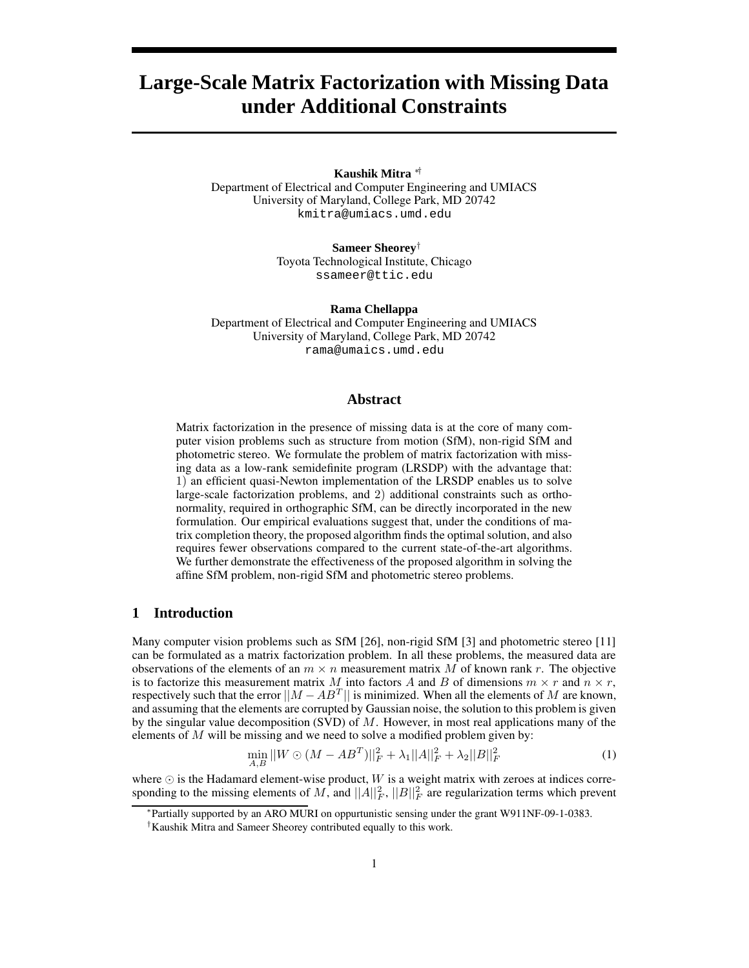# **Large-Scale Matrix Factorization with Missing Data under Additional Constraints**

#### **Kaushik Mitra** ∗†

Department of Electrical and Computer Engineering and UMIACS University of Maryland, College Park, MD 20742 kmitra@umiacs.umd.edu

> **Sameer Sheorey**† Toyota Technological Institute, Chicago ssameer@ttic.edu

**Rama Chellappa** Department of Electrical and Computer Engineering and UMIACS University of Maryland, College Park, MD 20742

rama@umaics.umd.edu

## **Abstract**

Matrix factorization in the presence of missing data is at the core of many computer vision problems such as structure from motion (SfM), non-rigid SfM and photometric stereo. We formulate the problem of matrix factorization with missing data as a low-rank semidefinite program (LRSDP) with the advantage that: 1) an efficient quasi-Newton implementation of the LRSDP enables us to solve large-scale factorization problems, and 2) additional constraints such as orthonormality, required in orthographic SfM, can be directly incorporated in the new formulation. Our empirical evaluations suggest that, under the conditions of matrix completion theory, the proposed algorithm finds the optimal solution, and also requires fewer observations compared to the current state-of-the-art algorithms. We further demonstrate the effectiveness of the proposed algorithm in solving the affine SfM problem, non-rigid SfM and photometric stereo problems.

## **1 Introduction**

Many computer vision problems such as SfM [26], non-rigid SfM [3] and photometric stereo [11] can be formulated as a matrix factorization problem. In all these problems, the measured data are observations of the elements of an  $m \times n$  measurement matrix M of known rank r. The objective is to factorize this measurement matrix M into factors A and B of dimensions  $m \times r$  and  $n \times r$ , respectively such that the error  $||M - AB^T||$  is minimized. When all the elements of M are known, and assuming that the elements are corrupted by Gaussian noise, the solution to this problem is given by the singular value decomposition (SVD) of  $M$ . However, in most real applications many of the elements of  $M$  will be missing and we need to solve a modified problem given by:

$$
\min_{A,B} ||W \odot (M - AB^T)||_F^2 + \lambda_1 ||A||_F^2 + \lambda_2 ||B||_F^2 \tag{1}
$$

where  $\odot$  is the Hadamard element-wise product, W is a weight matrix with zeroes at indices corresponding to the missing elements of M, and  $||A||_F^2$ ,  $||B||_F^2$  are regularization terms which prevent

∗ Partially supported by an ARO MURI on oppurtunistic sensing under the grant W911NF-09-1-0383.

<sup>†</sup>Kaushik Mitra and Sameer Sheorey contributed equally to this work.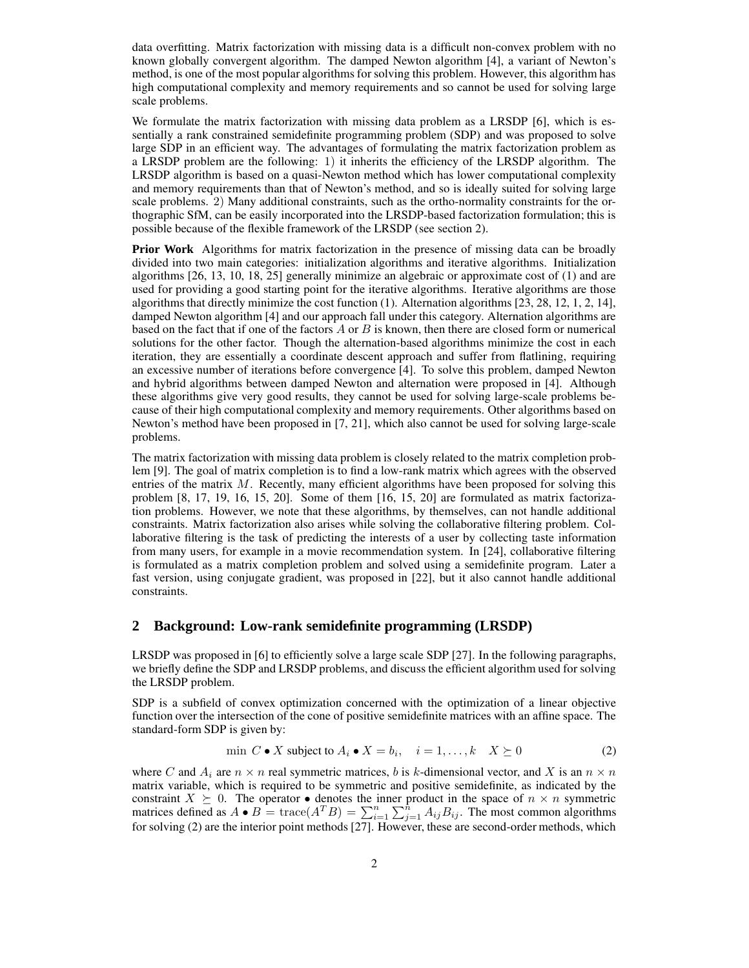data overfitting. Matrix factorization with missing data is a difficult non-convex problem with no known globally convergent algorithm. The damped Newton algorithm [4], a variant of Newton's method, is one of the most popular algorithms for solving this problem. However, this algorithm has high computational complexity and memory requirements and so cannot be used for solving large scale problems.

We formulate the matrix factorization with missing data problem as a LRSDP [6], which is essentially a rank constrained semidefinite programming problem (SDP) and was proposed to solve large SDP in an efficient way. The advantages of formulating the matrix factorization problem as a LRSDP problem are the following: 1) it inherits the efficiency of the LRSDP algorithm. The LRSDP algorithm is based on a quasi-Newton method which has lower computational complexity and memory requirements than that of Newton's method, and so is ideally suited for solving large scale problems. 2) Many additional constraints, such as the ortho-normality constraints for the orthographic SfM, can be easily incorporated into the LRSDP-based factorization formulation; this is possible because of the flexible framework of the LRSDP (see section 2).

**Prior Work** Algorithms for matrix factorization in the presence of missing data can be broadly divided into two main categories: initialization algorithms and iterative algorithms. Initialization algorithms [26, 13, 10, 18, 25] generally minimize an algebraic or approximate cost of (1) and are used for providing a good starting point for the iterative algorithms. Iterative algorithms are those algorithms that directly minimize the cost function (1). Alternation algorithms [23, 28, 12, 1, 2, 14], damped Newton algorithm [4] and our approach fall under this category. Alternation algorithms are based on the fact that if one of the factors  $A$  or  $B$  is known, then there are closed form or numerical solutions for the other factor. Though the alternation-based algorithms minimize the cost in each iteration, they are essentially a coordinate descent approach and suffer from flatlining, requiring an excessive number of iterations before convergence [4]. To solve this problem, damped Newton and hybrid algorithms between damped Newton and alternation were proposed in [4]. Although these algorithms give very good results, they cannot be used for solving large-scale problems because of their high computational complexity and memory requirements. Other algorithms based on Newton's method have been proposed in [7, 21], which also cannot be used for solving large-scale problems.

The matrix factorization with missing data problem is closely related to the matrix completion problem [9]. The goal of matrix completion is to find a low-rank matrix which agrees with the observed entries of the matrix  $M$ . Recently, many efficient algorithms have been proposed for solving this problem [8, 17, 19, 16, 15, 20]. Some of them [16, 15, 20] are formulated as matrix factorization problems. However, we note that these algorithms, by themselves, can not handle additional constraints. Matrix factorization also arises while solving the collaborative filtering problem. Collaborative filtering is the task of predicting the interests of a user by collecting taste information from many users, for example in a movie recommendation system. In [24], collaborative filtering is formulated as a matrix completion problem and solved using a semidefinite program. Later a fast version, using conjugate gradient, was proposed in [22], but it also cannot handle additional constraints.

#### **2 Background: Low-rank semidefinite programming (LRSDP)**

LRSDP was proposed in [6] to efficiently solve a large scale SDP [27]. In the following paragraphs, we briefly define the SDP and LRSDP problems, and discuss the efficient algorithm used for solving the LRSDP problem.

SDP is a subfield of convex optimization concerned with the optimization of a linear objective function over the intersection of the cone of positive semidefinite matrices with an affine space. The standard-form SDP is given by:

$$
\min \ C \bullet X \text{ subject to } A_i \bullet X = b_i, \quad i = 1, \dots, k \quad X \succeq 0 \tag{2}
$$

where C and  $A_i$  are  $n \times n$  real symmetric matrices, b is k-dimensional vector, and X is an  $n \times n$ matrix variable, which is required to be symmetric and positive semidefinite, as indicated by the constraint  $X \succeq 0$ . The operator • denotes the inner product in the space of  $n \times n$  symmetric matrices defined as  $A \bullet B = \text{trace}(A^T B) = \sum_{i=1}^n \sum_{j=1}^n A_{ij} B_{ij}$ . The most common algorithms for solving (2) are the interior point methods [27]. However, these are second-order methods, which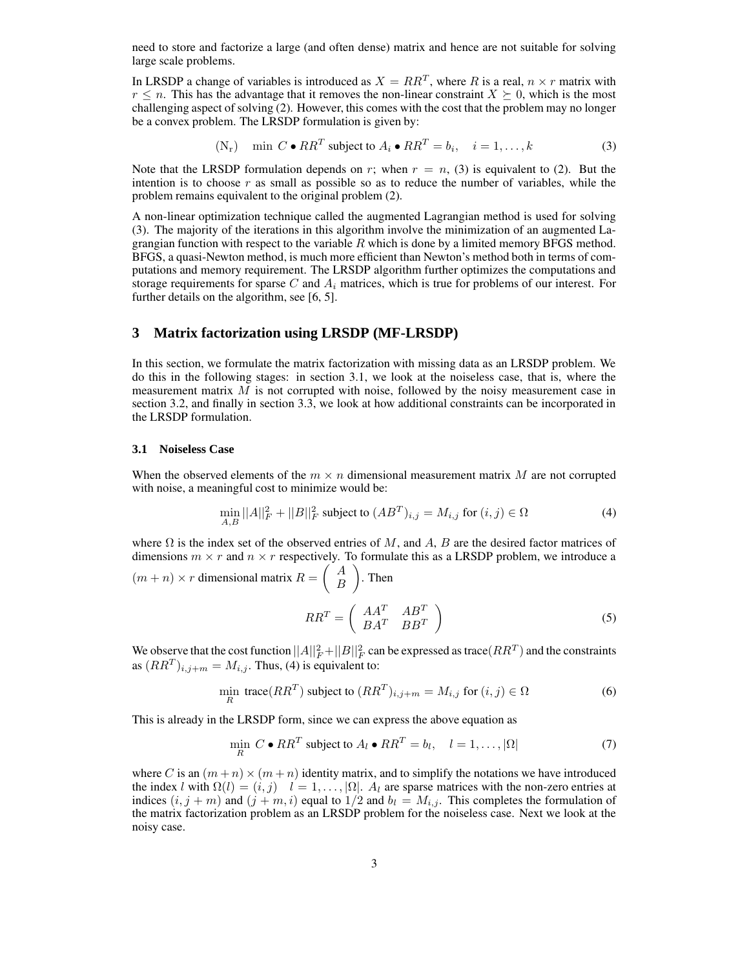need to store and factorize a large (and often dense) matrix and hence are not suitable for solving large scale problems.

In LRSDP a change of variables is introduced as  $X = RR^T$ , where R is a real,  $n \times r$  matrix with  $r \leq n$ . This has the advantage that it removes the non-linear constraint  $X \succeq 0$ , which is the most challenging aspect of solving (2). However, this comes with the cost that the problem may no longer be a convex problem. The LRSDP formulation is given by:

(N<sub>r</sub>) min 
$$
C \cdot RR^T
$$
 subject to  $A_i \cdot RR^T = b_i$ ,  $i = 1, ..., k$  (3)

Note that the LRSDP formulation depends on r; when  $r = n$ , (3) is equivalent to (2). But the intention is to choose  $r$  as small as possible so as to reduce the number of variables, while the problem remains equivalent to the original problem (2).

A non-linear optimization technique called the augmented Lagrangian method is used for solving (3). The majority of the iterations in this algorithm involve the minimization of an augmented Lagrangian function with respect to the variable  $R$  which is done by a limited memory BFGS method. BFGS, a quasi-Newton method, is much more efficient than Newton's method both in terms of computations and memory requirement. The LRSDP algorithm further optimizes the computations and storage requirements for sparse C and  $A_i$  matrices, which is true for problems of our interest. For further details on the algorithm, see [6, 5].

## **3 Matrix factorization using LRSDP (MF-LRSDP)**

In this section, we formulate the matrix factorization with missing data as an LRSDP problem. We do this in the following stages: in section 3.1, we look at the noiseless case, that is, where the measurement matrix  $M$  is not corrupted with noise, followed by the noisy measurement case in section 3.2, and finally in section 3.3, we look at how additional constraints can be incorporated in the LRSDP formulation.

#### **3.1 Noiseless Case**

When the observed elements of the  $m \times n$  dimensional measurement matrix M are not corrupted with noise, a meaningful cost to minimize would be:

$$
\min_{A,B} ||A||_F^2 + ||B||_F^2 \text{ subject to } (AB^T)_{i,j} = M_{i,j} \text{ for } (i,j) \in \Omega
$$
\n(4)

where  $\Omega$  is the index set of the observed entries of M, and A, B are the desired factor matrices of dimensions  $m \times r$  and  $n \times r$  respectively. To formulate this as a LRSDP problem, we introduce a  $(m + n) \times r$  dimensional matrix  $R = \begin{pmatrix} A \\ B \end{pmatrix}$ B . Then

$$
RR^T = \left(\begin{array}{cc} AA^T & AB^T\\ BA^T & BB^T \end{array}\right) \tag{5}
$$

We observe that the cost function  $||A||_F^2 + ||B||_F^2$  can be expressed as trace  $(RR^T)$  and the constraints as  $(RR^{T})_{i,j+m} = M_{i,j}$ . Thus, (4) is equivalent to:

$$
\min_{R} \text{trace}(RR^T) \text{ subject to } (RR^T)_{i,j+m} = M_{i,j} \text{ for } (i,j) \in \Omega
$$
\n(6)

This is already in the LRSDP form, since we can express the above equation as

$$
\min_{R} C \bullet RR^{T} \text{ subject to } A_{l} \bullet RR^{T} = b_{l}, \quad l = 1, ..., |\Omega|
$$
 (7)

where C is an  $(m+n) \times (m+n)$  identity matrix, and to simplify the notations we have introduced the index l with  $\Omega(l) = (i, j)$   $l = 1, ..., |\Omega|$ .  $A_l$  are sparse matrices with the non-zero entries at indices  $(i, j + m)$  and  $(j + m, i)$  equal to  $1/2$  and  $b_l = M_{i,j}$ . This completes the formulation of the matrix factorization problem as an LRSDP problem for the noiseless case. Next we look at the noisy case.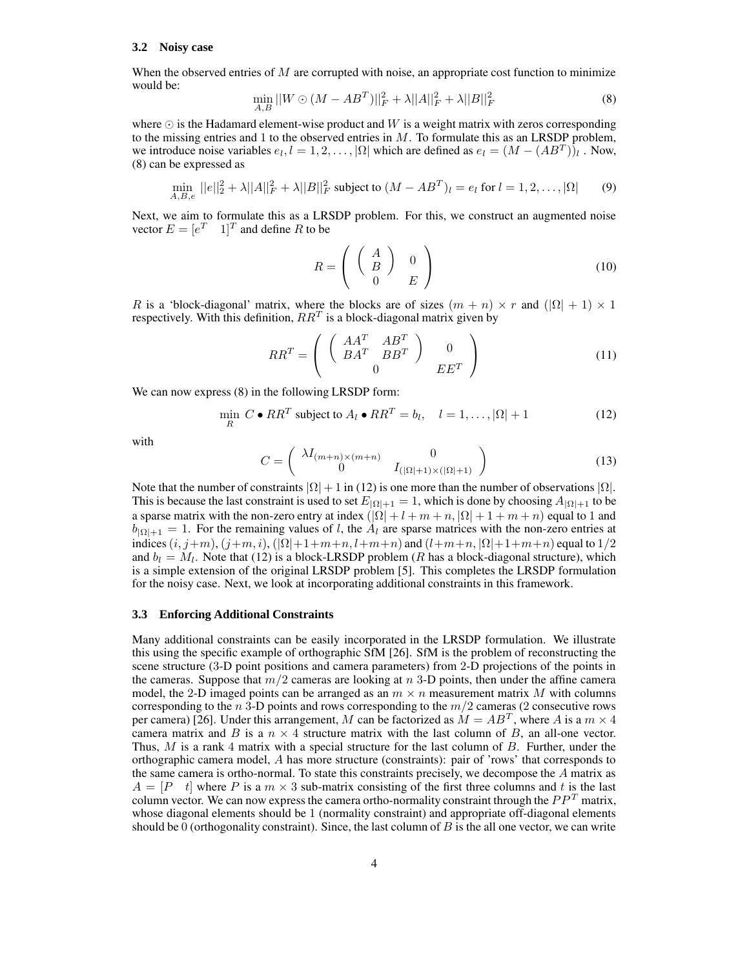#### **3.2 Noisy case**

When the observed entries of  $M$  are corrupted with noise, an appropriate cost function to minimize would be:

$$
\min_{A,B} ||W \odot (M - AB^T)||_F^2 + \lambda ||A||_F^2 + \lambda ||B||_F^2 \tag{8}
$$

where  $\odot$  is the Hadamard element-wise product and W is a weight matrix with zeros corresponding to the missing entries and 1 to the observed entries in  $M$ . To formulate this as an LRSDP problem, we introduce noise variables  $e_l, l = 1, 2, ..., |\Omega|$  which are defined as  $e_l = (M - (AB^T))_l$ . Now, (8) can be expressed as

$$
\min_{A,B,e} ||e||_2^2 + \lambda ||A||_F^2 + \lambda ||B||_F^2 \text{ subject to } (M - AB^T)_l = e_l \text{ for } l = 1, 2, ..., |\Omega| \tag{9}
$$

Next, we aim to formulate this as a LRSDP problem. For this, we construct an augmented noise vector  $E = [e^T \quad 1]^T$  and define R to be

$$
R = \left(\begin{array}{cc} A \\ B \\ 0 \end{array}\right) \quad \begin{array}{c} 0 \\ E \end{array} \right) \tag{10}
$$

R is a 'block-diagonal' matrix, where the blocks are of sizes  $(m + n) \times r$  and  $(|\Omega| + 1) \times 1$ respectively. With this definition,  $RR^T$  is a block-diagonal matrix given by

$$
RR^T = \left( \begin{array}{cc} \left( \begin{array}{cc} AA^T & AB^T \\ BA^T & BB^T \end{array} \right) & 0 \\ 0 & EE^T \end{array} \right) \tag{11}
$$

We can now express (8) in the following LRSDP form:

$$
\min_{R} C \bullet RR^{T} \text{ subject to } A_{l} \bullet RR^{T} = b_{l}, \quad l = 1, \dots, |\Omega| + 1 \tag{12}
$$

with

$$
C = \begin{pmatrix} \lambda I_{(m+n)\times(m+n)} & 0\\ 0 & I_{(|\Omega|+1)\times(|\Omega|+1)} \end{pmatrix}
$$
 (13)

Note that the number of constraints  $|\Omega| + 1$  in (12) is one more than the number of observations  $|\Omega|$ . This is because the last constraint is used to set  $E_{|\Omega|+1} = 1$ , which is done by choosing  $A_{|\Omega|+1}$  to be a sparse matrix with the non-zero entry at index  $(|\Omega| + l + m + n, |\Omega| + 1 + m + n)$  equal to 1 and  $b_{\vert\Omega\vert+1} = 1$ . For the remaining values of l, the  $A_l$  are sparse matrices with the non-zero entries at indices  $(i, j+m)$ ,  $(j+m, i)$ ,  $(|\Omega|+1+m+n, l+m+n)$  and  $(l+m+n, |\Omega|+1+m+n)$  equal to  $1/2$ and  $b_l = M_l$ . Note that (12) is a block-LRSDP problem (R has a block-diagonal structure), which is a simple extension of the original LRSDP problem [5]. This completes the LRSDP formulation for the noisy case. Next, we look at incorporating additional constraints in this framework.

#### **3.3 Enforcing Additional Constraints**

Many additional constraints can be easily incorporated in the LRSDP formulation. We illustrate this using the specific example of orthographic SfM [26]. SfM is the problem of reconstructing the scene structure (3-D point positions and camera parameters) from 2-D projections of the points in the cameras. Suppose that  $m/2$  cameras are looking at n 3-D points, then under the affine camera model, the 2-D imaged points can be arranged as an  $m \times n$  measurement matrix M with columns corresponding to the  $n$  3-D points and rows corresponding to the  $m/2$  cameras (2 consecutive rows per camera) [26]. Under this arrangement, M can be factorized as  $M = AB^T$ , where A is a  $m \times 4$ camera matrix and B is a  $n \times 4$  structure matrix with the last column of B, an all-one vector. Thus,  $M$  is a rank 4 matrix with a special structure for the last column of  $B$ . Further, under the orthographic camera model, A has more structure (constraints): pair of 'rows' that corresponds to the same camera is ortho-normal. To state this constraints precisely, we decompose the  $A$  matrix as  $A = [P \ t]$  where P is a  $m \times 3$  sub-matrix consisting of the first three columns and t is the last column vector. We can now express the camera ortho-normality constraint through the  $PP<sup>T</sup>$  matrix, whose diagonal elements should be 1 (normality constraint) and appropriate off-diagonal elements should be 0 (orthogonality constraint). Since, the last column of  $B$  is the all one vector, we can write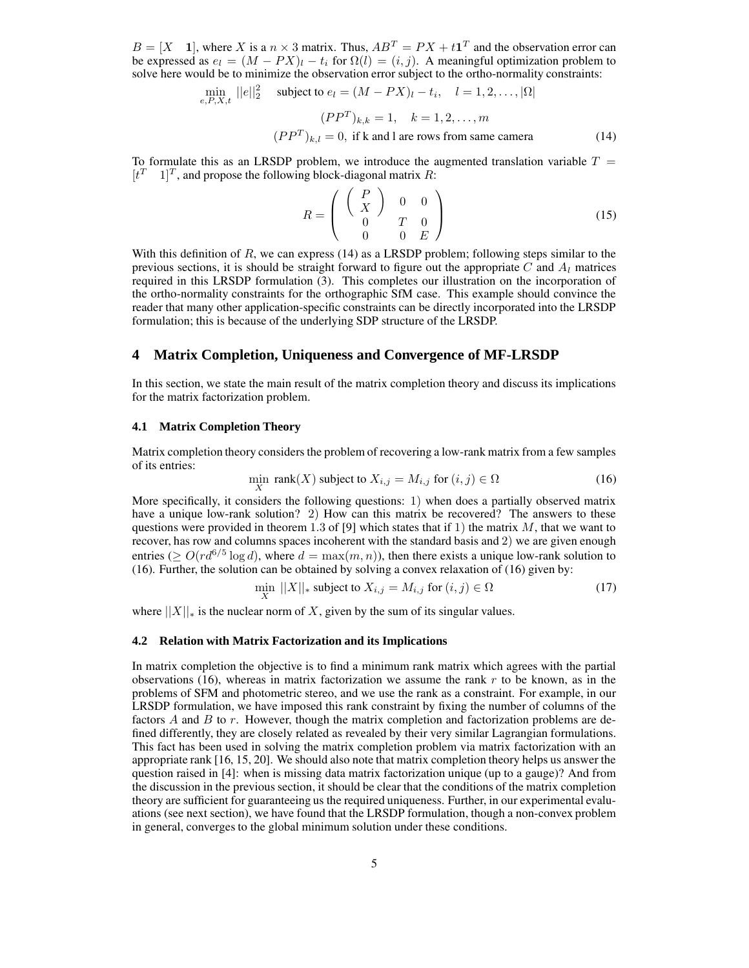$B = [X \quad 1]$ , where X is a  $n \times 3$  matrix. Thus,  $AB^T = PX + t1^T$  and the observation error can be expressed as  $e_l = (M - PX)_l - t_i$  for  $\Omega(l) = (i, j)$ . A meaningful optimization problem to solve here would be to minimize the observation error subject to the ortho-normality constraints:

$$
\min_{e,P,X,t} ||e||_2^2 \quad \text{subject to } e_l = (M - PX)_l - t_i, \quad l = 1, 2, \dots, |\Omega|
$$
\n
$$
(PP^T)_{k,k} = 1, \quad k = 1, 2, \dots, m
$$
\n
$$
(PP^T)_{k,l} = 0, \text{ if k and l are rows from same camera} \tag{14}
$$

To formulate this as an LRSDP problem, we introduce the augmented translation variable  $T =$  $[t<sup>T</sup>$  1]<sup>T</sup>, and propose the following block-diagonal matrix R:

$$
R = \left(\begin{array}{cc} \left(\begin{array}{c} P \\ X \end{array}\right) & 0 & 0 \\ 0 & T & 0 \\ 0 & 0 & E \end{array}\right) \tag{15}
$$

With this definition of  $R$ , we can express (14) as a LRSDP problem; following steps similar to the previous sections, it is should be straight forward to figure out the appropriate C and  $A<sub>l</sub>$  matrices required in this LRSDP formulation (3). This completes our illustration on the incorporation of the ortho-normality constraints for the orthographic SfM case. This example should convince the reader that many other application-specific constraints can be directly incorporated into the LRSDP formulation; this is because of the underlying SDP structure of the LRSDP.

#### **4 Matrix Completion, Uniqueness and Convergence of MF-LRSDP**

In this section, we state the main result of the matrix completion theory and discuss its implications for the matrix factorization problem.

#### **4.1 Matrix Completion Theory**

Matrix completion theory considers the problem of recovering a low-rank matrix from a few samples of its entries:

$$
\min_{X} \text{rank}(X) \text{ subject to } X_{i,j} = M_{i,j} \text{ for } (i,j) \in \Omega \tag{16}
$$

More specifically, it considers the following questions: 1) when does a partially observed matrix have a unique low-rank solution? 2) How can this matrix be recovered? The answers to these questions were provided in theorem 1.3 of [9] which states that if 1) the matrix  $M$ , that we want to recover, has row and columns spaces incoherent with the standard basis and 2) we are given enough entries ( $\geq O(r d^{6/5} \log d)$ , where  $d = \max(m, n)$ ), then there exists a unique low-rank solution to (16). Further, the solution can be obtained by solving a convex relaxation of (16) given by:

$$
\min_{X} ||X||_{*} \text{ subject to } X_{i,j} = M_{i,j} \text{ for } (i,j) \in \Omega
$$
\n
$$
(17)
$$

where  $||X||_*$  is the nuclear norm of X, given by the sum of its singular values.

#### **4.2 Relation with Matrix Factorization and its Implications**

In matrix completion the objective is to find a minimum rank matrix which agrees with the partial observations (16), whereas in matrix factorization we assume the rank  $r$  to be known, as in the problems of SFM and photometric stereo, and we use the rank as a constraint. For example, in our LRSDP formulation, we have imposed this rank constraint by fixing the number of columns of the factors  $A$  and  $B$  to  $r$ . However, though the matrix completion and factorization problems are defined differently, they are closely related as revealed by their very similar Lagrangian formulations. This fact has been used in solving the matrix completion problem via matrix factorization with an appropriate rank [16, 15, 20]. We should also note that matrix completion theory helps us answer the question raised in [4]: when is missing data matrix factorization unique (up to a gauge)? And from the discussion in the previous section, it should be clear that the conditions of the matrix completion theory are sufficient for guaranteeing us the required uniqueness. Further, in our experimental evaluations (see next section), we have found that the LRSDP formulation, though a non-convex problem in general, converges to the global minimum solution under these conditions.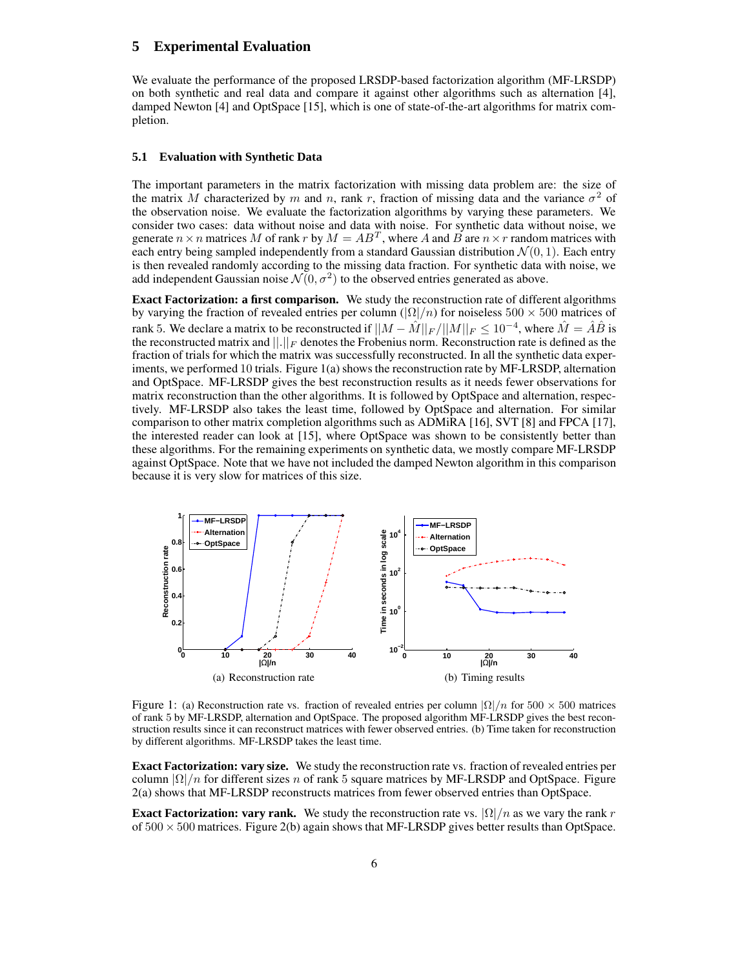# **5 Experimental Evaluation**

We evaluate the performance of the proposed LRSDP-based factorization algorithm (MF-LRSDP) on both synthetic and real data and compare it against other algorithms such as alternation [4], damped Newton [4] and OptSpace [15], which is one of state-of-the-art algorithms for matrix completion.

#### **5.1 Evaluation with Synthetic Data**

The important parameters in the matrix factorization with missing data problem are: the size of the matrix M characterized by m and n, rank r, fraction of missing data and the variance  $\sigma^2$  of the observation noise. We evaluate the factorization algorithms by varying these parameters. We consider two cases: data without noise and data with noise. For synthetic data without noise, we generate  $n \times n$  matrices M of rank r by  $M = AB^T$ , where A and B are  $n \times r$  random matrices with each entry being sampled independently from a standard Gaussian distribution  $\mathcal{N}(0, 1)$ . Each entry is then revealed randomly according to the missing data fraction. For synthetic data with noise, we add independent Gaussian noise  $\mathcal{N}(0, \sigma^2)$  to the observed entries generated as above.

**Exact Factorization: a first comparison.** We study the reconstruction rate of different algorithms by varying the fraction of revealed entries per column ( $|\Omega|/n$ ) for noiseless 500  $\times$  500 matrices of rank 5. We declare a matrix to be reconstructed if  $||M - \hat{M}||_F / ||M||_F \le 10^{-4}$ , where  $\hat{M} = \hat{A}\hat{B}$  is the reconstructed matrix and  $||.||_F$  denotes the Frobenius norm. Reconstruction rate is defined as the fraction of trials for which the matrix was successfully reconstructed. In all the synthetic data experiments, we performed 10 trials. Figure 1(a) shows the reconstruction rate by MF-LRSDP, alternation and OptSpace. MF-LRSDP gives the best reconstruction results as it needs fewer observations for matrix reconstruction than the other algorithms. It is followed by OptSpace and alternation, respectively. MF-LRSDP also takes the least time, followed by OptSpace and alternation. For similar comparison to other matrix completion algorithms such as ADMiRA [16], SVT [8] and FPCA [17], the interested reader can look at [15], where OptSpace was shown to be consistently better than these algorithms. For the remaining experiments on synthetic data, we mostly compare MF-LRSDP against OptSpace. Note that we have not included the damped Newton algorithm in this comparison because it is very slow for matrices of this size.



Figure 1: (a) Reconstruction rate vs. fraction of revealed entries per column  $|\Omega|/n$  for 500 × 500 matrices of rank 5 by MF-LRSDP, alternation and OptSpace. The proposed algorithm MF-LRSDP gives the best reconstruction results since it can reconstruct matrices with fewer observed entries. (b) Time taken for reconstruction by different algorithms. MF-LRSDP takes the least time.

**Exact Factorization: vary size.** We study the reconstruction rate vs. fraction of revealed entries per column  $\Omega/n$  for different sizes n of rank 5 square matrices by MF-LRSDP and OptSpace. Figure 2(a) shows that MF-LRSDP reconstructs matrices from fewer observed entries than OptSpace.

**Exact Factorization: vary rank.** We study the reconstruction rate vs.  $\left|\Omega\right|/n$  as we vary the rank r of  $500 \times 500$  matrices. Figure 2(b) again shows that MF-LRSDP gives better results than OptSpace.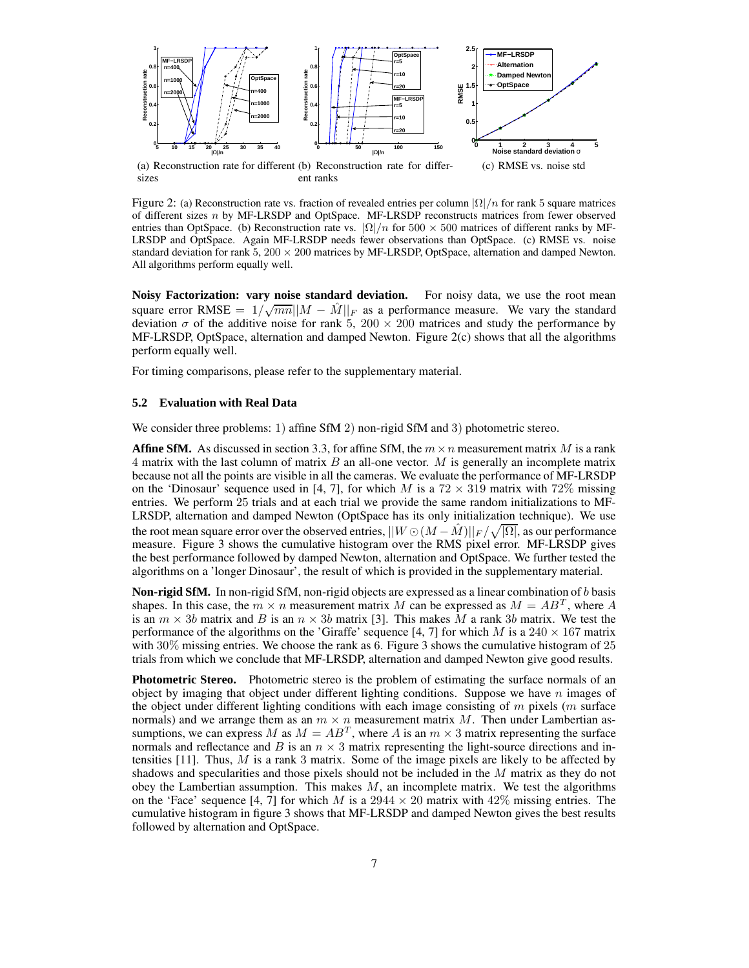

(a) Reconstruction rate for different (b) Reconstruction rate for differsizes ent ranks

Figure 2: (a) Reconstruction rate vs. fraction of revealed entries per column  $|\Omega|/n$  for rank 5 square matrices of different sizes n by MF-LRSDP and OptSpace. MF-LRSDP reconstructs matrices from fewer observed entries than OptSpace. (b) Reconstruction rate vs.  $|\Omega|/n$  for 500 × 500 matrices of different ranks by MF-LRSDP and OptSpace. Again MF-LRSDP needs fewer observations than OptSpace. (c) RMSE vs. noise standard deviation for rank  $5,200 \times 200$  matrices by MF-LRSDP, OptSpace, alternation and damped Newton. All algorithms perform equally well.

**Noisy Factorization: vary noise standard deviation.** For noisy data, we use the root mean square error RMSE =  $1/\sqrt{mn}||M - \hat{M}||_F$  as a performance measure. We vary the standard deviation  $\sigma$  of the additive noise for rank 5, 200  $\times$  200 matrices and study the performance by MF-LRSDP, OptSpace, alternation and damped Newton. Figure 2(c) shows that all the algorithms perform equally well.

For timing comparisons, please refer to the supplementary material.

#### **5.2 Evaluation with Real Data**

We consider three problems: 1) affine SfM 2) non-rigid SfM and 3) photometric stereo.

**Affine SfM.** As discussed in section 3.3, for affine SfM, the  $m \times n$  measurement matrix M is a rank 4 matrix with the last column of matrix  $B$  an all-one vector.  $M$  is generally an incomplete matrix because not all the points are visible in all the cameras. We evaluate the performance of MF-LRSDP on the 'Dinosaur' sequence used in [4, 7], for which M is a  $72 \times 319$  matrix with  $72\%$  missing entries. We perform 25 trials and at each trial we provide the same random initializations to MF-LRSDP, alternation and damped Newton (OptSpace has its only initialization technique). We use the root mean square error over the observed entries,  $||W \odot (M - \hat{M})||_F / \sqrt{|\Omega|}$ , as our performance measure. Figure 3 shows the cumulative histogram over the RMS pixel error. MF-LRSDP gives the best performance followed by damped Newton, alternation and OptSpace. We further tested the algorithms on a 'longer Dinosaur', the result of which is provided in the supplementary material.

**Non-rigid SfM.** In non-rigid SfM, non-rigid objects are expressed as a linear combination of b basis shapes. In this case, the  $m \times n$  measurement matrix M can be expressed as  $M = AB^T$ , where A is an  $m \times 3b$  matrix and B is an  $n \times 3b$  matrix [3]. This makes M a rank 3b matrix. We test the performance of the algorithms on the 'Giraffe' sequence [4, 7] for which M is a  $240 \times 167$  matrix with 30% missing entries. We choose the rank as 6. Figure 3 shows the cumulative histogram of 25 trials from which we conclude that MF-LRSDP, alternation and damped Newton give good results.

**Photometric Stereo.** Photometric stereo is the problem of estimating the surface normals of an object by imaging that object under different lighting conditions. Suppose we have  $n$  images of the object under different lighting conditions with each image consisting of  $m$  pixels ( $m$  surface normals) and we arrange them as an  $m \times n$  measurement matrix M. Then under Lambertian assumptions, we can express  $M$  as  $M = AB^T$ , where A is an  $m \times 3$  matrix representing the surface normals and reflectance and B is an  $n \times 3$  matrix representing the light-source directions and intensities  $[11]$ . Thus, M is a rank 3 matrix. Some of the image pixels are likely to be affected by shadows and specularities and those pixels should not be included in the M matrix as they do not obey the Lambertian assumption. This makes  $M$ , an incomplete matrix. We test the algorithms on the 'Face' sequence [4, 7] for which M is a  $2944 \times 20$  matrix with  $42\%$  missing entries. The cumulative histogram in figure 3 shows that MF-LRSDP and damped Newton gives the best results followed by alternation and OptSpace.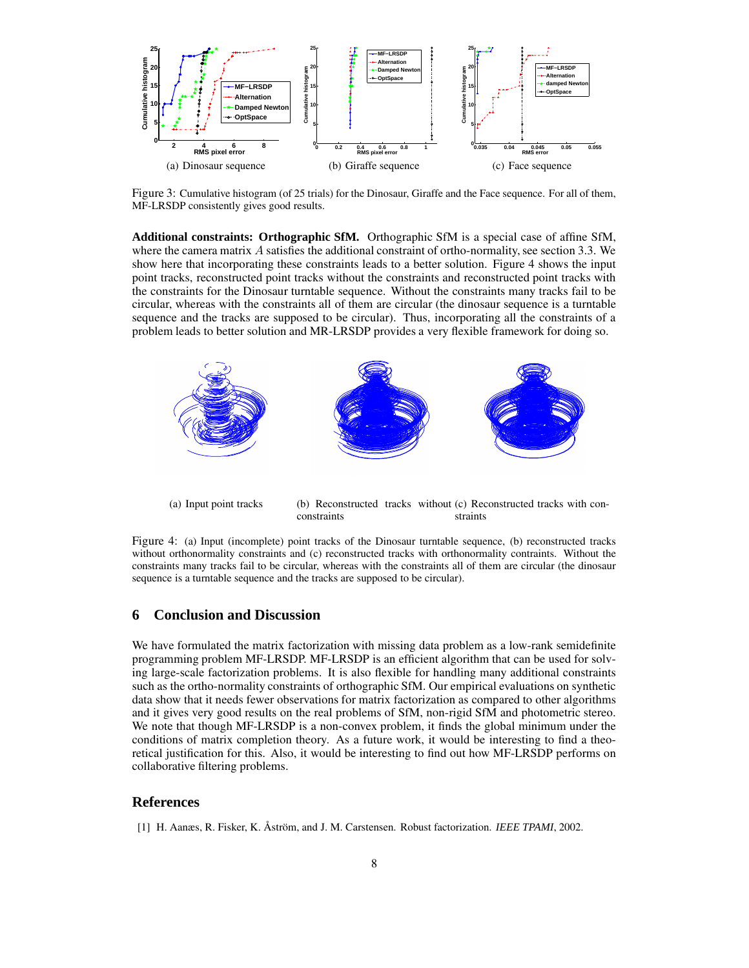

Figure 3: Cumulative histogram (of 25 trials) for the Dinosaur, Giraffe and the Face sequence. For all of them, MF-LRSDP consistently gives good results.

**Additional constraints: Orthographic SfM.** Orthographic SfM is a special case of affine SfM, where the camera matrix  $\vec{A}$  satisfies the additional constraint of ortho-normality, see section 3.3. We show here that incorporating these constraints leads to a better solution. Figure 4 shows the input point tracks, reconstructed point tracks without the constraints and reconstructed point tracks with the constraints for the Dinosaur turntable sequence. Without the constraints many tracks fail to be circular, whereas with the constraints all of them are circular (the dinosaur sequence is a turntable sequence and the tracks are supposed to be circular). Thus, incorporating all the constraints of a problem leads to better solution and MR-LRSDP provides a very flexible framework for doing so.



Figure 4: (a) Input (incomplete) point tracks of the Dinosaur turntable sequence, (b) reconstructed tracks without orthonormality constraints and (c) reconstructed tracks with orthonormality contraints. Without the

constraints many tracks fail to be circular, whereas with the constraints all of them are circular (the dinosaur

sequence is a turntable sequence and the tracks are supposed to be circular).

## **6 Conclusion and Discussion**

We have formulated the matrix factorization with missing data problem as a low-rank semidefinite programming problem MF-LRSDP. MF-LRSDP is an efficient algorithm that can be used for solving large-scale factorization problems. It is also flexible for handling many additional constraints such as the ortho-normality constraints of orthographic SfM. Our empirical evaluations on synthetic data show that it needs fewer observations for matrix factorization as compared to other algorithms and it gives very good results on the real problems of SfM, non-rigid SfM and photometric stereo. We note that though MF-LRSDP is a non-convex problem, it finds the global minimum under the conditions of matrix completion theory. As a future work, it would be interesting to find a theoretical justification for this. Also, it would be interesting to find out how MF-LRSDP performs on collaborative filtering problems.

## **References**

[1] H. Aanæs, R. Fisker, K. Åström, and J. M. Carstensen. Robust factorization. *IEEE TPAMI*, 2002.